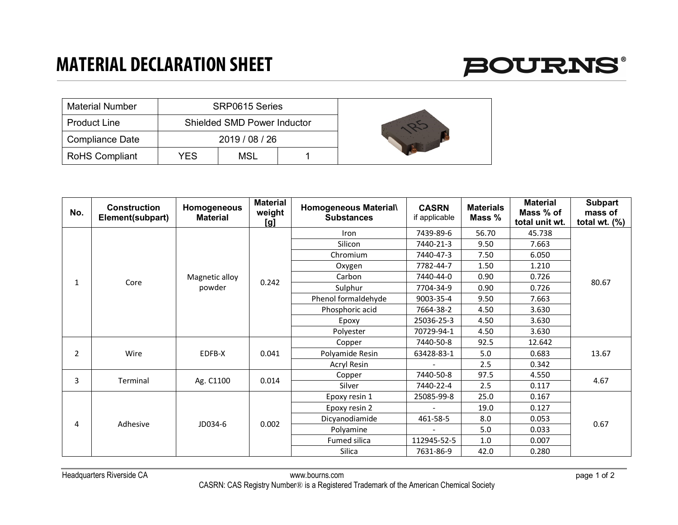## **MATERIAL DECLARATION SHEET**



| <b>Material Number</b> |     | SRP0615 Series                     |  |  |
|------------------------|-----|------------------------------------|--|--|
| <b>Product Line</b>    |     | <b>Shielded SMD Power Inductor</b> |  |  |
| <b>Compliance Date</b> |     | 2019 / 08 / 26                     |  |  |
| <b>RoHS Compliant</b>  | YES | MSL                                |  |  |

| No. | <b>Construction</b><br>Element(subpart) | Homogeneous<br><b>Material</b> | <b>Material</b><br>weight<br>[g] | Homogeneous Material\<br><b>Substances</b> | <b>CASRN</b><br>if applicable | <b>Materials</b><br>Mass % | <b>Material</b><br>Mass % of<br>total unit wt. | <b>Subpart</b><br>mass of<br>total wt. $(\%)$ |
|-----|-----------------------------------------|--------------------------------|----------------------------------|--------------------------------------------|-------------------------------|----------------------------|------------------------------------------------|-----------------------------------------------|
| 1   | Core                                    | Magnetic alloy<br>powder       | 0.242                            | Iron                                       | 7439-89-6                     | 56.70                      | 45.738                                         | 80.67                                         |
|     |                                         |                                |                                  | Silicon                                    | 7440-21-3                     | 9.50                       | 7.663                                          |                                               |
|     |                                         |                                |                                  | Chromium                                   | 7440-47-3                     | 7.50                       | 6.050                                          |                                               |
|     |                                         |                                |                                  | Oxygen                                     | 7782-44-7                     | 1.50                       | 1.210                                          |                                               |
|     |                                         |                                |                                  | Carbon                                     | 7440-44-0                     | 0.90                       | 0.726                                          |                                               |
|     |                                         |                                |                                  | Sulphur                                    | 7704-34-9                     | 0.90                       | 0.726                                          |                                               |
|     |                                         |                                |                                  | Phenol formaldehyde                        | 9003-35-4                     | 9.50                       | 7.663                                          |                                               |
|     |                                         |                                |                                  | Phosphoric acid                            | 7664-38-2                     | 4.50                       | 3.630                                          |                                               |
|     |                                         |                                |                                  | Epoxy                                      | 25036-25-3                    | 4.50                       | 3.630                                          |                                               |
|     |                                         |                                |                                  | Polyester                                  | 70729-94-1                    | 4.50                       | 3.630                                          |                                               |
| 2   | Wire                                    | EDFB-X                         | 0.041                            | Copper                                     | 7440-50-8                     | 92.5                       | 12.642                                         | 13.67                                         |
|     |                                         |                                |                                  | Polyamide Resin                            | 63428-83-1                    | 5.0                        | 0.683                                          |                                               |
|     |                                         |                                |                                  | Acryl Resin                                |                               | 2.5                        | 0.342                                          |                                               |
| 3   | Terminal                                | Ag. C1100                      | 0.014                            | Copper                                     | 7440-50-8                     | 97.5                       | 4.550                                          | 4.67                                          |
|     |                                         |                                |                                  | Silver                                     | 7440-22-4                     | 2.5                        | 0.117                                          |                                               |
| 4   | Adhesive                                | JD034-6                        | 0.002                            | Epoxy resin 1                              | 25085-99-8                    | 25.0                       | 0.167                                          | 0.67                                          |
|     |                                         |                                |                                  | Epoxy resin 2                              |                               | 19.0                       | 0.127                                          |                                               |
|     |                                         |                                |                                  | Dicyanodiamide                             | 461-58-5                      | 8.0                        | 0.053                                          |                                               |
|     |                                         |                                |                                  | Polyamine                                  | $\overline{\phantom{0}}$      | 5.0                        | 0.033                                          |                                               |
|     |                                         |                                |                                  | Fumed silica                               | 112945-52-5                   | 1.0                        | 0.007                                          |                                               |
|     |                                         |                                |                                  | Silica                                     | 7631-86-9                     | 42.0                       | 0.280                                          |                                               |